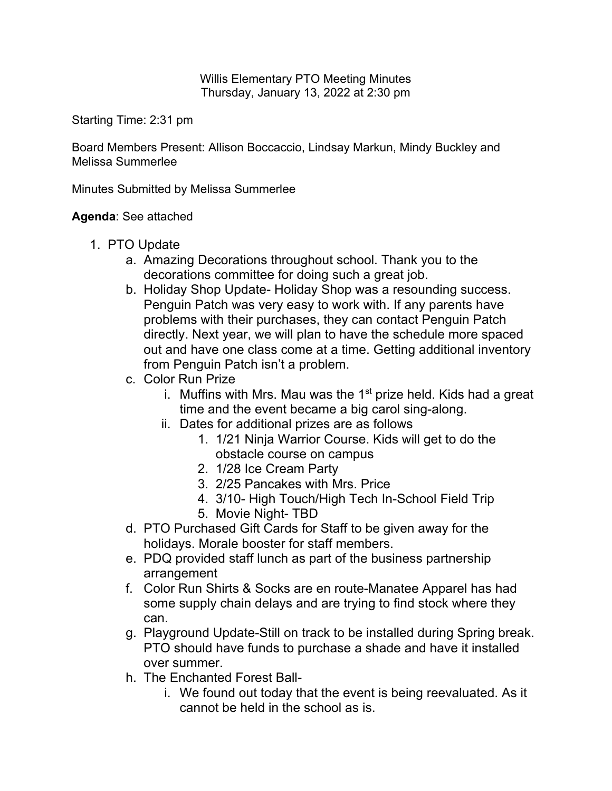Willis Elementary PTO Meeting Minutes Thursday, January 13, 2022 at 2:30 pm

Starting Time: 2:31 pm

Board Members Present: Allison Boccaccio, Lindsay Markun, Mindy Buckley and Melissa Summerlee

Minutes Submitted by Melissa Summerlee

## **Agenda**: See attached

- 1. PTO Update
	- a. Amazing Decorations throughout school. Thank you to the decorations committee for doing such a great job.
	- b. Holiday Shop Update- Holiday Shop was a resounding success. Penguin Patch was very easy to work with. If any parents have problems with their purchases, they can contact Penguin Patch directly. Next year, we will plan to have the schedule more spaced out and have one class come at a time. Getting additional inventory from Penguin Patch isn't a problem.
	- c. Color Run Prize
		- i. Muffins with Mrs. Mau was the  $1<sup>st</sup>$  prize held. Kids had a great time and the event became a big carol sing-along.
		- ii. Dates for additional prizes are as follows
			- 1. 1/21 Ninja Warrior Course. Kids will get to do the obstacle course on campus
			- 2. 1/28 Ice Cream Party
			- 3. 2/25 Pancakes with Mrs. Price
			- 4. 3/10- High Touch/High Tech In-School Field Trip
			- 5. Movie Night- TBD
	- d. PTO Purchased Gift Cards for Staff to be given away for the holidays. Morale booster for staff members.
	- e. PDQ provided staff lunch as part of the business partnership arrangement
	- f. Color Run Shirts & Socks are en route-Manatee Apparel has had some supply chain delays and are trying to find stock where they can.
	- g. Playground Update-Still on track to be installed during Spring break. PTO should have funds to purchase a shade and have it installed over summer.
	- h. The Enchanted Forest Ball
		- i. We found out today that the event is being reevaluated. As it cannot be held in the school as is.